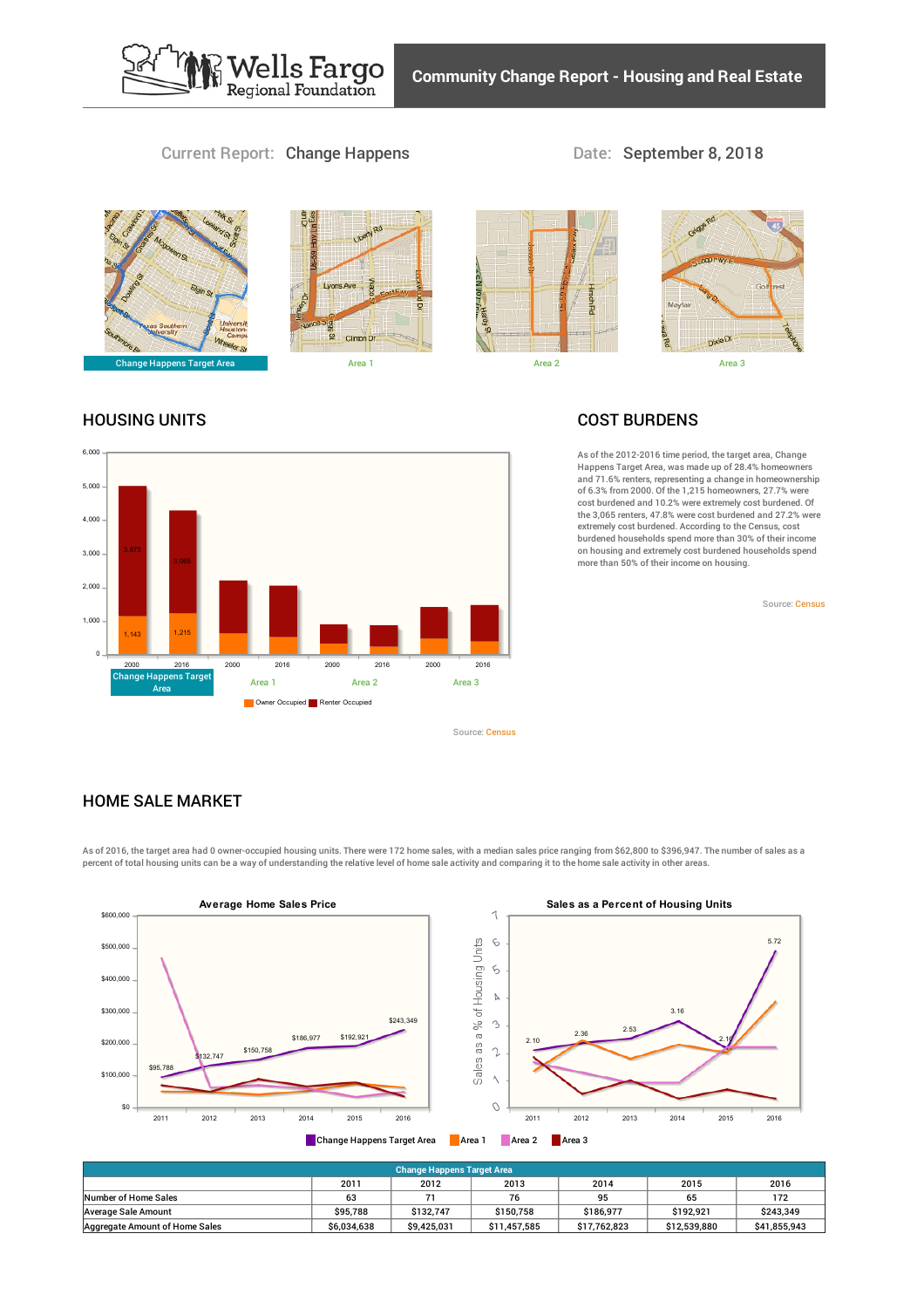

*<u>Mells Fargo</u>*<br>Regional Foundation





#### HOUSING UNITS



# COST BURDENS

As of the 2012-2016 time period, the target area, Change Happens Target Area, was made up of 28.4% homeowners and 71.6% renters, representing a change in homeownership of 6.3% from 2000. Of the 1,215 homeowners, 27.7% were cost burdened and 10.2% were extremely cost burdened. Of the 3,065 renters, 47.8% were cost burdened and 27.2% were extremely cost burdened. According to the Census, cost burdened households spend more than 30% of their income on housing and extremely cost burdened households spend<br>more than 50% of their income on housing.

Source: [Census](https://www.policymap.com/our-data-directory.html#Census: Decennial Census and American Community Survey (ACS))

# HOME SALE MARKET

As of 2016, the target area had 0 owner-occupied housing units. There were 172 home sales, with a median sales price ranging from \$62,800 to \$396,947. The number of sales as a percent of total housing units can be a way of understanding the relative level of home sale activity and comparing it to the home sale activity in other areas.

Source: [Census](https://www.policymap.com/our-data-directory.html#Census: Decennial Census and American Community Survey (ACS))



| Change Happens Target Area     |             |             |              |              |              |              |  |  |  |  |
|--------------------------------|-------------|-------------|--------------|--------------|--------------|--------------|--|--|--|--|
|                                | 2011        | 2012        | 2013         | 2014         | 2015         | 2016         |  |  |  |  |
| Number of Home Sales           | 63          |             | 76           | 95           | 65           | 172          |  |  |  |  |
| Average Sale Amount            | \$95.788    | \$132.747   | \$150.758    | \$186.977    | \$192.921    | \$243.349    |  |  |  |  |
| Aggregate Amount of Home Sales | \$6.034.638 | \$9.425.031 | \$11,457,585 | \$17.762.823 | \$12,539,880 | \$41,855,943 |  |  |  |  |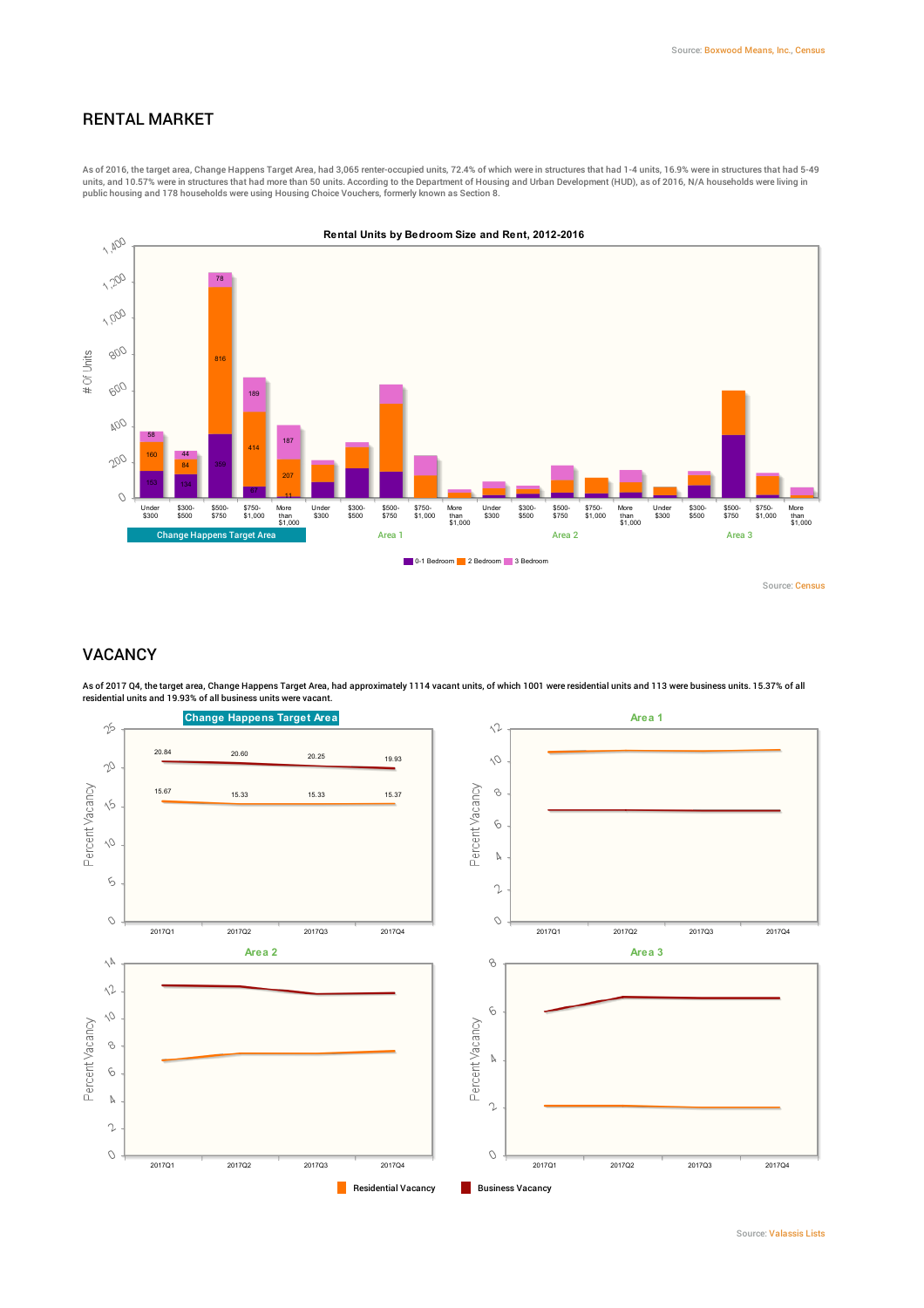# RENTAL MARKET

As of 2016, the target area, Change Happens Target Area, had 3,065 renter-occupied units, 72.4% of which were in structures that had 1-4 units, 16.9% were in structures that had 5-49 units, and 10.57% were in structures that had more than 50 units. According to the Department of Housing and Urban Development (HUD), as of 2016, N/A households were living in<br>public housing and 178 households were using H



#### VACANCY

As of 2017 Q4, the target area, Change Happens Target Area, had approximately 1114 vacant units, of which 1001 were residential units and 113 were business units. 15.37% of all<br>residential units and 19.93% of all business

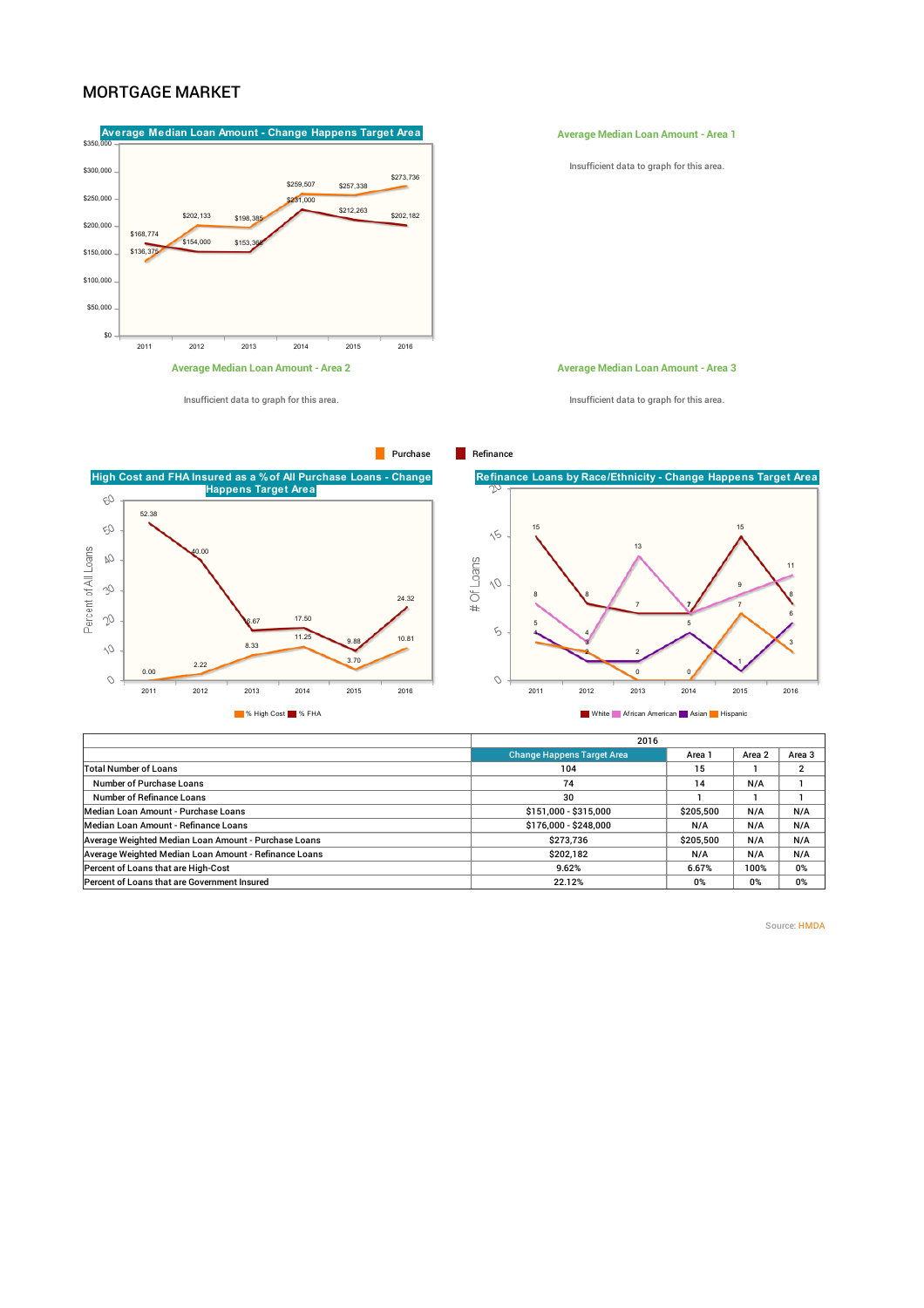### MORTGAGE MARKET



Insufficient data to graph for this area.

**Average Median Loan Amount - Area 1**

Insufficient data to graph for this area.

**Average Median Loan Amount - Area 3**

Insufficient data to graph for this area.

**High Cost and FHA Insured as a %of All Purchase Loans - Change Happens Target Area** CO. 52.38 B) Percent of All Loans Ŵ 40.00 V 24.32 17.50 .<br>67 11.25 10.81 8.33 9.88  $\Diamond$ 3.70 2.22  $0.00$  $\circ$ 2011 2012 2013 2014 2015 2016 **Manufacture African American Music African American Music African American Music African American Music Asian Music Hispanic Asian Music African American Music African American Music African American Music African America** 



|                                   | 2016      |        |                   |  |  |  |
|-----------------------------------|-----------|--------|-------------------|--|--|--|
| <b>Change Happens Target Area</b> | Area 1    | Area 2 | Area <sub>3</sub> |  |  |  |
| 104                               | 15        |        |                   |  |  |  |
| 74                                | 14        | N/A    |                   |  |  |  |
| 30                                |           |        |                   |  |  |  |
| \$151,000 - \$315,000             | \$205,500 | N/A    | N/A               |  |  |  |
| \$176,000 - \$248,000             | N/A       | N/A    | N/A               |  |  |  |
| \$273,736                         | \$205,500 | N/A    | N/A               |  |  |  |
| \$202,182                         | N/A       | N/A    | N/A               |  |  |  |
| 9.62%                             | 6.67%     | 100%   | 0%                |  |  |  |
| 22.12%                            | 0%        | 0%     | 0%                |  |  |  |
|                                   |           |        |                   |  |  |  |

Source: [HMDA](https://www.policymap.com/our-data-directory.html#HMDA (Home Mortgage Disclosure Act))